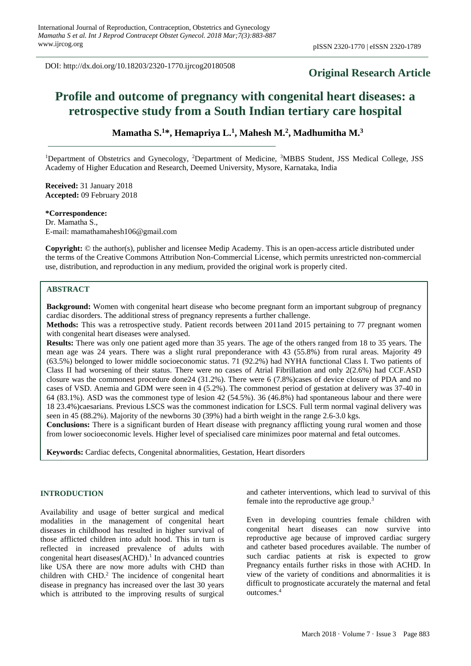DOI: http://dx.doi.org/10.18203/2320-1770.ijrcog20180508

## **Original Research Article**

# **Profile and outcome of pregnancy with congenital heart diseases: a retrospective study from a South Indian tertiary care hospital**

**Mamatha S.<sup>1</sup>\*, Hemapriya L.<sup>1</sup> , Mahesh M.<sup>2</sup> , Madhumitha M.<sup>3</sup>**

<sup>1</sup>Department of Obstetrics and Gynecology, <sup>2</sup>Department of Medicine, <sup>3</sup>MBBS Student, JSS Medical College, JSS Academy of Higher Education and Research, Deemed University, Mysore, Karnataka, India

**Received:** 31 January 2018 **Accepted:** 09 February 2018

**\*Correspondence:** Dr. Mamatha S., E-mail: mamathamahesh106@gmail.com

**Copyright:** © the author(s), publisher and licensee Medip Academy. This is an open-access article distributed under the terms of the Creative Commons Attribution Non-Commercial License, which permits unrestricted non-commercial use, distribution, and reproduction in any medium, provided the original work is properly cited.

#### **ABSTRACT**

**Background:** Women with congenital heart disease who become pregnant form an important subgroup of pregnancy cardiac disorders. The additional stress of pregnancy represents a further challenge.

**Methods:** This was a retrospective study. Patient records between 2011and 2015 pertaining to 77 pregnant women with congenital heart diseases were analysed.

**Results:** There was only one patient aged more than 35 years. The age of the others ranged from 18 to 35 years. The mean age was 24 years. There was a slight rural preponderance with 43 (55.8%) from rural areas. Majority 49 (63.5%) belonged to lower middle socioeconomic status. 71 (92.2%) had NYHA functional Class I. Two patients of Class II had worsening of their status. There were no cases of Atrial Fibrillation and only 2(2.6%) had CCF.ASD closure was the commonest procedure done24 (31.2%). There were 6 (7.8%)cases of device closure of PDA and no cases of VSD. Anemia and GDM were seen in 4 (5.2%). The commonest period of gestation at delivery was 37-40 in 64 (83.1%). ASD was the commonest type of lesion 42 (54.5%). 36 (46.8%) had spontaneous labour and there were 18 23.4%)caesarians. Previous LSCS was the commonest indication for LSCS. Full term normal vaginal delivery was seen in 45 (88.2%). Majority of the newborns 30 (39%) had a birth weight in the range 2.6-3.0 kgs.

**Conclusions:** There is a significant burden of Heart disease with pregnancy afflicting young rural women and those from lower socioeconomic levels. Higher level of specialised care minimizes poor maternal and fetal outcomes.

**Keywords:** Cardiac defects, Congenital abnormalities, Gestation, Heart disorders

## **INTRODUCTION**

Availability and usage of better surgical and medical modalities in the management of congenital heart diseases in childhood has resulted in higher survival of those afflicted children into adult hood. This in turn is reflected in increased prevalence of adults with congenital heart diseases  $(ACHD)$ .<sup>1</sup> In advanced countries like USA there are now more adults with CHD than children with CHD.<sup>2</sup> The incidence of congenital heart disease in pregnancy has increased over the last 30 years which is attributed to the improving results of surgical and catheter interventions, which lead to survival of this female into the reproductive age group.<sup>3</sup>

Even in developing countries female children with congenital heart diseases can now survive into reproductive age because of improved cardiac surgery and catheter based procedures available. The number of such cardiac patients at risk is expected to grow Pregnancy entails further risks in those with ACHD. In view of the variety of conditions and abnormalities it is difficult to prognosticate accurately the maternal and fetal outcomes.<sup>4</sup>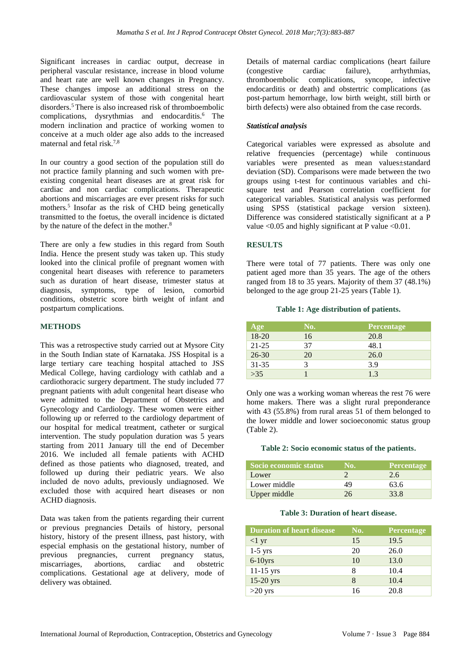Significant increases in cardiac output, decrease in peripheral vascular resistance, increase in blood volume and heart rate are well known changes in Pregnancy. These changes impose an additional stress on the cardiovascular system of those with congenital heart disorders.<sup>5</sup> There is also increased risk of thromboembolic complications, dysrythmias and endocarditis.<sup>6</sup> The modern inclination and practice of working women to conceive at a much older age also adds to the increased maternal and fetal risk.7,8

In our country a good section of the population still do not practice family planning and such women with preexisting congenital heart diseases are at great risk for cardiac and non cardiac complications. Therapeutic abortions and miscarriages are ever present risks for such mothers.<sup>5</sup> Insofar as the risk of CHD being genetically transmitted to the foetus, the overall incidence is dictated by the nature of the defect in the mother.<sup>8</sup>

There are only a few studies in this regard from South India. Hence the present study was taken up. This study looked into the clinical profile of pregnant women with congenital heart diseases with reference to parameters such as duration of heart disease, trimester status at diagnosis, symptoms, type of lesion, comorbid conditions, obstetric score birth weight of infant and postpartum complications.

## **METHODS**

This was a retrospective study carried out at Mysore City in the South Indian state of Karnataka. JSS Hospital is a large tertiary care teaching hospital attached to JSS Medical College, having cardiology with cathlab and a cardiothoracic surgery department. The study included 77 pregnant patients with adult congenital heart disease who were admitted to the Department of Obstetrics and Gynecology and Cardiology. These women were either following up or referred to the cardiology department of our hospital for medical treatment, catheter or surgical intervention. The study population duration was 5 years starting from 2011 January till the end of December 2016. We included all female patients with ACHD defined as those patients who diagnosed, treated, and followed up during their pediatric years. We also included de novo adults, previously undiagnosed. We excluded those with acquired heart diseases or non ACHD diagnosis.

Data was taken from the patients regarding their current or previous pregnancies Details of history, personal history, history of the present illness, past history, with especial emphasis on the gestational history, number of previous pregnancies, current pregnancy status, miscarriages, abortions, cardiac and obstetric complications. Gestational age at delivery, mode of delivery was obtained.

Details of maternal cardiac complications (heart failure (congestive cardiac failure), arrhythmias, thromboembolic complications, syncope, infective endocarditis or death) and obstertric complications (as post-partum hemorrhage, low birth weight, still birth or birth defects) were also obtained from the case records.

## *Statistical analysis*

Categorical variables were expressed as absolute and relative frequencies (percentage) while continuous variables were presented as mean values±standard deviation (SD). Comparisons were made between the two groups using t-test for continuous variables and chisquare test and Pearson correlation coefficient for categorical variables. Statistical analysis was performed using SPSS (statistical package version sixteen). Difference was considered statistically significant at a P value  $\leq 0.05$  and highly significant at P value  $\leq 0.01$ .

#### **RESULTS**

There were total of 77 patients. There was only one patient aged more than 35 years. The age of the others ranged from 18 to 35 years. Majority of them 37 (48.1%) belonged to the age group 21-25 years (Table 1).

## **Table 1: Age distribution of patients.**

| Age       | No. | <b>Percentage</b> |
|-----------|-----|-------------------|
| $18-20$   | 16  | 20.8              |
| $21 - 25$ | 37  | 48.1              |
| $26 - 30$ | 20  | 26.0              |
| $31 - 35$ |     | 3.9               |
| >35       |     | 1.3               |

Only one was a working woman whereas the rest 76 were home makers. There was a slight rural preponderance with 43 (55.8%) from rural areas 51 of them belonged to the lower middle and lower socioeconomic status group (Table 2).

#### **Table 2: Socio economic status of the patients.**

| Socio economic status | No. | Percentage |
|-----------------------|-----|------------|
| Lower                 |     | 2.6        |
| Lower middle          | 49  | 63.6       |
| Upper middle          | 26  | 33.8       |

#### **Table 3: Duration of heart disease.**

| <b>Duration of heart disease</b> | No. | Percentage |
|----------------------------------|-----|------------|
| $<1 \text{ yr}$                  | 15  | 19.5       |
| $1-5$ yrs                        | 20  | 26.0       |
| $6-10$ yrs                       | 10  | 13.0       |
| $11-15$ yrs                      | 8   | 10.4       |
| 15-20 yrs                        | 8   | 10.4       |
| $>20$ yrs                        | 16  | 20.8       |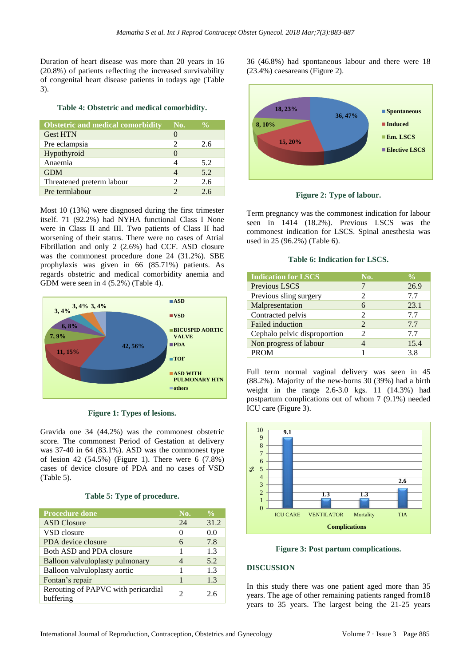Duration of heart disease was more than 20 years in 16 (20.8%) of patients reflecting the increased survivability of congenital heart disease patients in todays age (Table 3).

#### **Table 4: Obstetric and medical comorbidity.**

| <b>Obstetric and medical comorbidity</b> | No.               | $\frac{0}{0}$ |
|------------------------------------------|-------------------|---------------|
| <b>Gest HTN</b>                          |                   |               |
| Pre eclampsia                            | 2                 | 2.6           |
| Hypothyroid                              | $\mathbf{\Omega}$ |               |
| Anaemia                                  |                   | 5.2           |
| <b>GDM</b>                               |                   | 5.2           |
| Threatened preterm labour                | っ                 | 2.6           |
| Pre termlabour                           |                   | 2.6           |

Most 10 (13%) were diagnosed during the first trimester itself. 71 (92.2%) had NYHA functional Class I None were in Class II and III. Two patients of Class II had worsening of their status. There were no cases of Atrial Fibrillation and only 2 (2.6%) had CCF. ASD closure was the commonest procedure done 24 (31.2%). SBE prophylaxis was given in 66 (85.71%) patients. As regards obstetric and medical comorbidity anemia and GDM were seen in 4 (5.2%) (Table 4).



**Figure 1: Types of lesions.**

Gravida one 34 (44.2%) was the commonest obstetric score. The commonest Period of Gestation at delivery was 37-40 in 64 (83.1%). ASD was the commonest type of lesion 42 (54.5%) (Figure 1). There were 6 (7.8%) cases of device closure of PDA and no cases of VSD (Table 5).

#### **Table 5: Type of procedure.**

| <b>Procedure done</b>                            | No.          | $\frac{0}{0}$ |
|--------------------------------------------------|--------------|---------------|
| <b>ASD</b> Closure                               | 24           | 31.2          |
| VSD closure                                      | $\mathbf{0}$ | 0.0           |
| PDA device closure                               | 6            | 7.8           |
| Both ASD and PDA closure                         |              | 1.3           |
| Balloon valvuloplasty pulmonary                  | 4            | 5.2           |
| Balloon valvuloplasty aortic                     |              | 1.3           |
| Fontan's repair                                  |              | 1.3           |
| Rerouting of PAPVC with pericardial<br>buffering |              | 2.6           |

36 (46.8%) had spontaneous labour and there were 18 (23.4%) caesareans (Figure 2).



**Figure 2: Type of labour.**

Term pregnancy was the commonest indication for labour seen in 1414 (18.2%). Previous LSCS was the commonest indication for LSCS. Spinal anesthesia was used in 25 (96.2%) (Table 6).

#### **Table 6: Indication for LSCS.**

| <b>Indication for LSCS</b>   | No.                         | $\frac{0}{0}$ |
|------------------------------|-----------------------------|---------------|
| Previous LSCS                |                             | 26.9          |
| Previous sling surgery       | 2                           | 7.7           |
| Malpresentation              | 6                           | 23.1          |
| Contracted pelvis            | 2                           | 7.7           |
| <b>Failed</b> induction      | $\mathcal{L}$               | 7.7           |
| Cephalo pelvic disproportion | $\mathcal{D}_{\mathcal{L}}$ | 7.7           |
| Non progress of labour       |                             | 15.4          |
| <b>PROM</b>                  |                             | 38            |

Full term normal vaginal delivery was seen in 45 (88.2%). Majority of the new-borns 30 (39%) had a birth weight in the range 2.6-3.0 kgs. 11 (14.3%) had postpartum complications out of whom 7 (9.1%) needed ICU care (Figure 3).



**Figure 3: Post partum complications.**

#### **DISCUSSION**

In this study there was one patient aged more than 35 years. The age of other remaining patients ranged from18 years to 35 years. The largest being the 21-25 years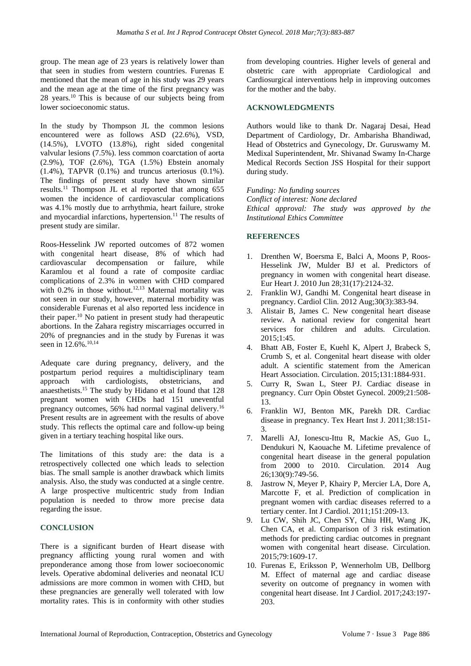group. The mean age of 23 years is relatively lower than that seen in studies from western countries. Furenas E mentioned that the mean of age in his study was 29 years and the mean age at the time of the first pregnancy was 28 years. <sup>10</sup> This is because of our subjects being from lower socioeconomic status.

In the study by Thompson JL the common lesions encountered were as follows ASD (22.6%), VSD, (14.5%), LVOTO (13.8%), right sided congenital valvular lesions (7.5%). less common coarctation of aorta (2.9%), TOF (2.6%), TGA (1.5%) Ebstein anomaly  $(1.4\%)$ , TAPVR  $(0.1\%)$  and truncus arteriosus  $(0.1\%)$ . The findings of present study have shown similar results.<sup>11</sup> Thompson JL et al reported that among 655 women the incidence of cardiovascular complications was 4.1% mostly due to arrhythmia, heart failure, stroke and myocardial infarctions, hypertension. <sup>11</sup> The results of present study are similar.

Roos-Hesselink JW reported outcomes of 872 women with congenital heart disease, 8% of which had cardiovascular decompensation or failure, while Karamlou et al found a rate of composite cardiac complications of 2.3% in women with CHD compared with  $0.2\%$  in those without.<sup>12,13</sup> Maternal mortality was not seen in our study, however, maternal morbidity was considerable Furenas et al also reported less incidence in their paper.<sup>10</sup> No patient in present study had therapeutic abortions. In the Zahara registry miscarriages occurred in 20% of pregnancies and in the study by Furenas it was seen in 12.6%.<sup>10,14</sup>

Adequate care during pregnancy, delivery, and the postpartum period requires a multidisciplinary team approach with cardiologists, obstetricians, and anaesthetists. <sup>15</sup> The study by Hidano et al found that 128 pregnant women with CHDs had 151 uneventful pregnancy outcomes, 56% had normal vaginal delivery.<sup>16</sup> Present results are in agreement with the results of above study. This reflects the optimal care and follow-up being given in a tertiary teaching hospital like ours.

The limitations of this study are: the data is a retrospectively collected one which leads to selection bias. The small sample is another drawback which limits analysis. Also, the study was conducted at a single centre. A large prospective multicentric study from Indian population is needed to throw more precise data regarding the issue.

## **CONCLUSION**

There is a significant burden of Heart disease with pregnancy afflicting young rural women and with preponderance among those from lower socioeconomic levels. Operative abdominal deliveries and neonatal ICU admissions are more common in women with CHD, but these pregnancies are generally well tolerated with low mortality rates. This is in conformity with other studies from developing countries. Higher levels of general and obstetric care with appropriate Cardiological and Cardiosurgical interventions help in improving outcomes for the mother and the baby.

## **ACKNOWLEDGMENTS**

Authors would like to thank Dr. Nagaraj Desai, Head Department of Cardiology, Dr. Ambarisha Bhandiwad, Head of Obstetrics and Gynecology, Dr. Guruswamy M. Medixal Superintendent, Mr. Shivanad Swamy In-Charge Medical Records Section JSS Hospital for their support during study.

*Funding: No funding sources Conflict of interest: None declared Ethical approval: The study was approved by the Institutional Ethics Committee*

## **REFERENCES**

- 1. Drenthen W, Boersma E, Balci A, Moons P, Roos-Hesselink JW, Mulder BJ et al. Predictors of pregnancy in women with congenital heart disease. Eur Heart J. 2010 Jun 28;31(17):2124-32.
- 2. Franklin WJ, Gandhi M. Congenital heart disease in pregnancy. Cardiol Clin. 2012 Aug;30(3):383-94.
- 3. Alistair B, James C. New congenital heart disease review. A national review for congenital heart services for children and adults. Circulation. 2015;1:45.
- 4. Bhatt AB, Foster E, Kuehl K, Alpert J, Brabeck S, Crumb S, et al. Congenital heart disease with older adult. A scientific statement from the American Heart Association. Circulation. 2015;131:1884-931.
- 5. Curry R, Swan L, Steer PJ. Cardiac disease in pregnancy. Curr Opin Obstet Gynecol. 2009;21:508- 13.
- 6. Franklin WJ, Benton MK, Parekh DR. Cardiac disease in pregnancy. Tex Heart Inst J. 2011;38:151- 3.
- 7. Marelli AJ, Ionescu-Ittu R, Mackie AS, Guo L, Dendukuri N, Kaouache M. Lifetime prevalence of congenital heart disease in the general population from 2000 to 2010. Circulation. 2014 Aug 26;130(9):749-56.
- 8. Jastrow N, Meyer P, Khairy P, Mercier LA, Dore A, Marcotte F, et al. Prediction of complication in pregnant women with cardiac diseases referred to a tertiary center. Int J Cardiol. 2011;151:209-13.
- 9. Lu CW, Shih JC, Chen SY, Chiu HH, Wang JK, Chen CA, et al. Comparison of 3 risk estimation methods for predicting cardiac outcomes in pregnant women with congenital heart disease. Circulation. 2015;79:1609-17.
- 10. Furenas E, Eriksson P, Wennerholm UB, Dellborg M. Effect of maternal age and cardiac disease severity on outcome of pregnancy in women with congenital heart disease. Int J Cardiol. 2017;243:197- 203.